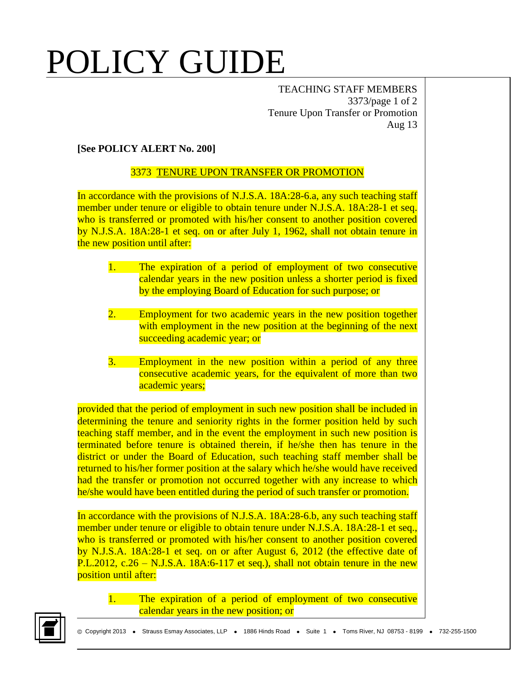## POLICY GUIDE

TEACHING STAFF MEMBERS 3373/page 1 of 2 Tenure Upon Transfer or Promotion Aug 13

## **[See POLICY ALERT No. 200]**

## 3373 TENURE UPON TRANSFER OR PROMOTION

In accordance with the provisions of N.J.S.A. 18A:28-6.a, any such teaching staff member under tenure or eligible to obtain tenure under N.J.S.A. 18A:28-1 et seq. who is transferred or promoted with his/her consent to another position covered by N.J.S.A. 18A:28-1 et seq. on or after July 1, 1962, shall not obtain tenure in the new position until after:

- 1. The expiration of a period of employment of two consecutive calendar years in the new position unless a shorter period is fixed by the employing Board of Education for such purpose; or
- 2. Employment for two academic years in the new position together with employment in the new position at the beginning of the next succeeding academic year; or
- 3. Employment in the new position within a period of any three consecutive academic years, for the equivalent of more than two academic years;

provided that the period of employment in such new position shall be included in determining the tenure and seniority rights in the former position held by such teaching staff member, and in the event the employment in such new position is terminated before tenure is obtained therein, if he/she then has tenure in the district or under the Board of Education, such teaching staff member shall be returned to his/her former position at the salary which he/she would have received had the transfer or promotion not occurred together with any increase to which he/she would have been entitled during the period of such transfer or promotion.

In accordance with the provisions of N.J.S.A. 18A:28-6.b, any such teaching staff member under tenure or eligible to obtain tenure under N.J.S.A. 18A:28-1 et seq., who is transferred or promoted with his/her consent to another position covered by N.J.S.A. 18A:28-1 et seq. on or after August 6, 2012 (the effective date of P.L.2012, c.26 – N.J.S.A. 18A:6-117 et seq.), shall not obtain tenure in the new position until after:

1. The expiration of a period of employment of two consecutive calendar years in the new position; or